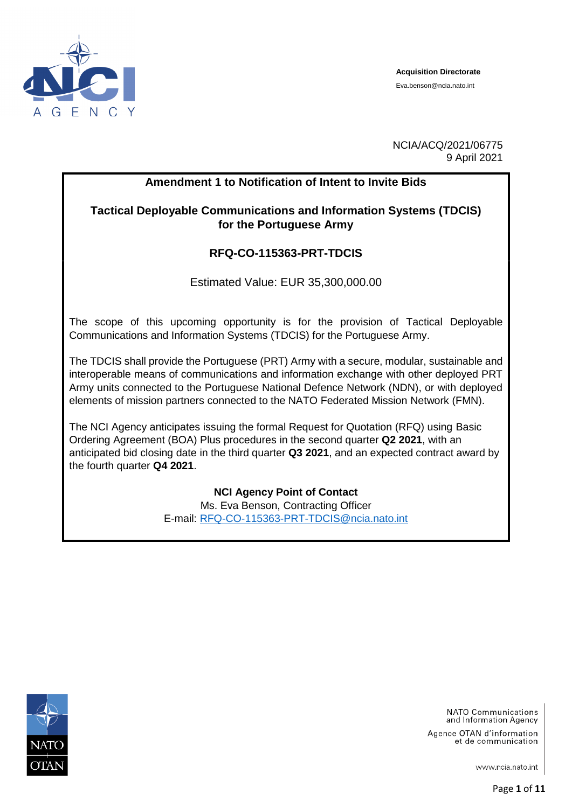

**Acquisition Directorate** Eva.benson@ncia.nato.int

NCIA/ACQ/2021/06775 9 April 2021

## **Amendment 1 to Notification of Intent to Invite Bids**

**Tactical Deployable Communications and Information Systems (TDCIS) for the Portuguese Army**

## **RFQ-CO-115363-PRT-TDCIS**

Estimated Value: EUR 35,300,000.00

The scope of this upcoming opportunity is for the provision of Tactical Deployable Communications and Information Systems (TDCIS) for the Portuguese Army.

The TDCIS shall provide the Portuguese (PRT) Army with a secure, modular, sustainable and interoperable means of communications and information exchange with other deployed PRT Army units connected to the Portuguese National Defence Network (NDN), or with deployed elements of mission partners connected to the NATO Federated Mission Network (FMN).

The NCI Agency anticipates issuing the formal Request for Quotation (RFQ) using Basic Ordering Agreement (BOA) Plus procedures in the second quarter **Q2 2021**, with an anticipated bid closing date in the third quarter **Q3 2021**, and an expected contract award by the fourth quarter **Q4 2021**.

> **NCI Agency Point of Contact** Ms. Eva Benson, Contracting Officer E-mail: [RFQ-CO-115363-PRT-TDCIS@ncia.nato.int](mailto:RFQ-CO-115363-PRT-TDCIS@ncia.nato.int)



NATO Communications and Information Agency

Agence OTAN d'information et de communication

www.ncia.nato.int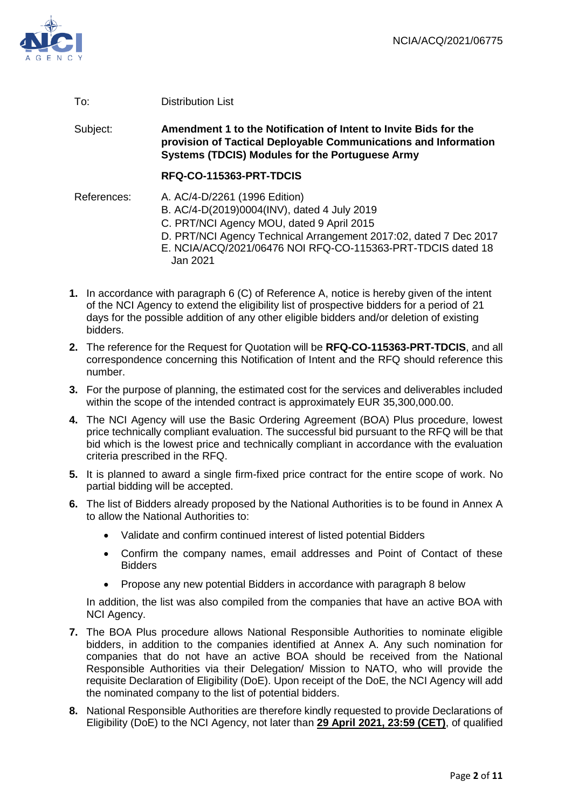

### To: Distribution List

Subject: **Amendment 1 to the Notification of Intent to Invite Bids for the provision of Tactical Deployable Communications and Information Systems (TDCIS) Modules for the Portuguese Army**

#### **RFQ-CO-115363-PRT-TDCIS**

References: A. AC/4-D/2261 (1996 Edition) B. AC/4-D(2019)0004(INV), dated 4 July 2019 C. PRT/NCI Agency MOU, dated 9 April 2015 D. PRT/NCI Agency Technical Arrangement 2017:02, dated 7 Dec 2017 E. NCIA/ACQ/2021/06476 NOI RFQ-CO-115363-PRT-TDCIS dated 18 Jan 2021

- **1.** In accordance with paragraph 6 (C) of Reference A, notice is hereby given of the intent of the NCI Agency to extend the eligibility list of prospective bidders for a period of 21 days for the possible addition of any other eligible bidders and/or deletion of existing bidders.
- **2.** The reference for the Request for Quotation will be **RFQ-CO-115363-PRT-TDCIS**, and all correspondence concerning this Notification of Intent and the RFQ should reference this number.
- **3.** For the purpose of planning, the estimated cost for the services and deliverables included within the scope of the intended contract is approximately EUR 35,300,000.00.
- **4.** The NCI Agency will use the Basic Ordering Agreement (BOA) Plus procedure, lowest price technically compliant evaluation. The successful bid pursuant to the RFQ will be that bid which is the lowest price and technically compliant in accordance with the evaluation criteria prescribed in the RFQ.
- **5.** It is planned to award a single firm-fixed price contract for the entire scope of work. No partial bidding will be accepted.
- **6.** The list of Bidders already proposed by the National Authorities is to be found in Annex A to allow the National Authorities to:
	- Validate and confirm continued interest of listed potential Bidders
	- Confirm the company names, email addresses and Point of Contact of these Bidders
	- Propose any new potential Bidders in accordance with paragraph 8 below

In addition, the list was also compiled from the companies that have an active BOA with NCI Agency.

- **7.** The BOA Plus procedure allows National Responsible Authorities to nominate eligible bidders, in addition to the companies identified at Annex A. Any such nomination for companies that do not have an active BOA should be received from the National Responsible Authorities via their Delegation/ Mission to NATO, who will provide the requisite Declaration of Eligibility (DoE). Upon receipt of the DoE, the NCI Agency will add the nominated company to the list of potential bidders.
- **8.** National Responsible Authorities are therefore kindly requested to provide Declarations of Eligibility (DoE) to the NCI Agency, not later than **29 April 2021, 23:59 (CET)**, of qualified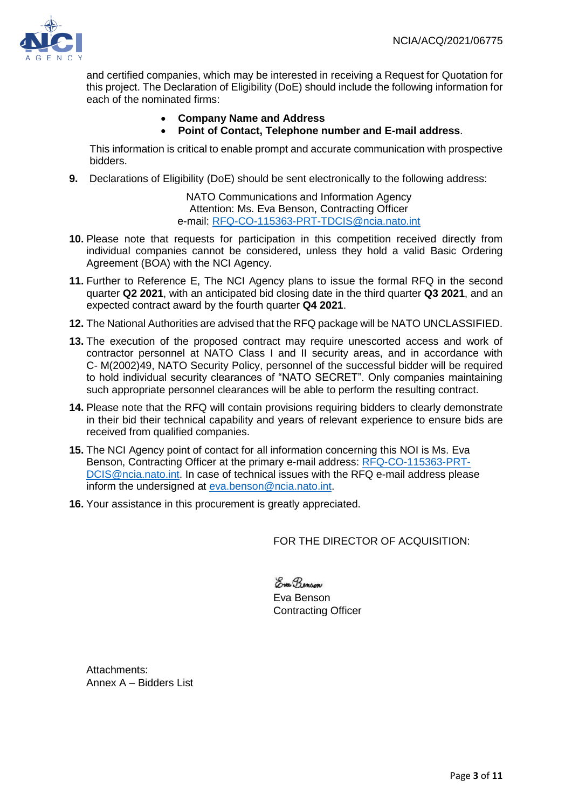

and certified companies, which may be interested in receiving a Request for Quotation for this project. The Declaration of Eligibility (DoE) should include the following information for each of the nominated firms:

## **Company Name and Address**

#### **Point of Contact, Telephone number and E-mail address**.

This information is critical to enable prompt and accurate communication with prospective bidders.

**9.** Declarations of Eligibility (DoE) should be sent electronically to the following address:

NATO Communications and Information Agency Attention: Ms. Eva Benson, Contracting Officer e-mail: [RFQ-CO-115363-PRT-TDCIS@ncia.nato.int](mailto:RFQ-CO-115363-PRT-TDCIS@ncia.nato.int)

- **10.** Please note that requests for participation in this competition received directly from individual companies cannot be considered, unless they hold a valid Basic Ordering Agreement (BOA) with the NCI Agency.
- **11.** Further to Reference E, The NCI Agency plans to issue the formal RFQ in the second quarter **Q2 2021**, with an anticipated bid closing date in the third quarter **Q3 2021**, and an expected contract award by the fourth quarter **Q4 2021**.
- **12.** The National Authorities are advised that the RFQ package will be NATO UNCLASSIFIED.
- **13.** The execution of the proposed contract may require unescorted access and work of contractor personnel at NATO Class I and II security areas, and in accordance with C- M(2002)49, NATO Security Policy, personnel of the successful bidder will be required to hold individual security clearances of "NATO SECRET". Only companies maintaining such appropriate personnel clearances will be able to perform the resulting contract.
- **14.** Please note that the RFQ will contain provisions requiring bidders to clearly demonstrate in their bid their technical capability and years of relevant experience to ensure bids are received from qualified companies.
- **15.** The NCI Agency point of contact for all information concerning this NOI is Ms. Eva Benson, Contracting Officer at the primary e-mail address: [RFQ-CO-115363-PRT-](mailto:RFQ-CO-115363-PRT-DCIS@ncia.nato.int)[DCIS@ncia.nato.int.](mailto:RFQ-CO-115363-PRT-DCIS@ncia.nato.int) In case of technical issues with the RFQ e-mail address please inform the undersigned at [eva.benson@ncia.nato.int.](mailto:eva.benson@ncia.nato.int)
- **16.** Your assistance in this procurement is greatly appreciated.

FOR THE DIRECTOR OF ACQUISITION:

Enge Benson Eva Benson Contracting Officer

Attachments: Annex A – Bidders List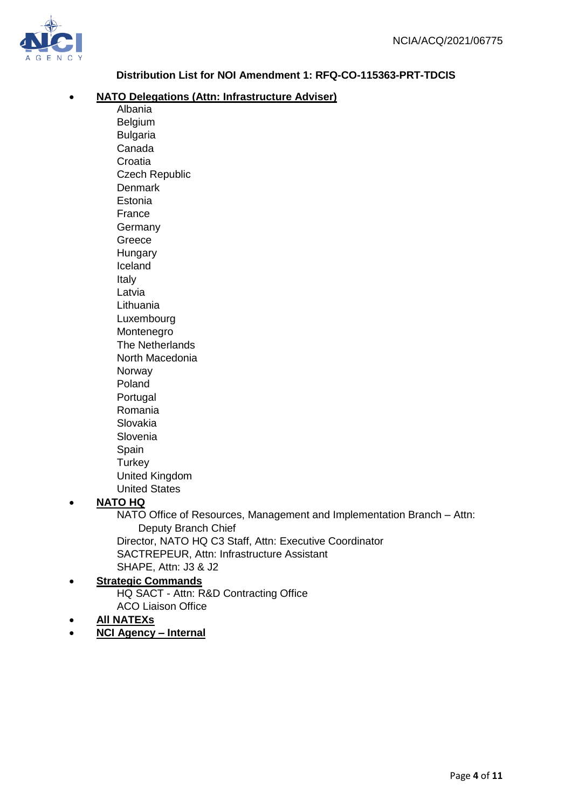

# **Distribution List for NOI Amendment 1: RFQ-CO-115363-PRT-TDCIS**

### **NATO Delegations (Attn: Infrastructure Adviser)**

Albania Belgium Bulgaria Canada Croatia Czech Republic **Denmark** Estonia France Germany Greece **Hungary** Iceland Italy Latvia **Lithuania** Luxembourg Montenegro The Netherlands North Macedonia Norway Poland Portugal Romania Slovakia Slovenia Spain **Spain Spain Spain Spain Spain Spain Spain Spain Spain Spain Turkey** United Kingdom United States

# **NATO HQ**

NATO Office of Resources, Management and Implementation Branch – Attn: Deputy Branch Chief Director, NATO HQ C3 Staff, Attn: Executive Coordinator SACTREPEUR, Attn: Infrastructure Assistant SHAPE, Attn: J3 & J2

#### **Strategic Commands** HQ SACT - Attn: R&D Contracting Office

ACO Liaison Office

## **All NATEXs**

**NCI Agency – Internal**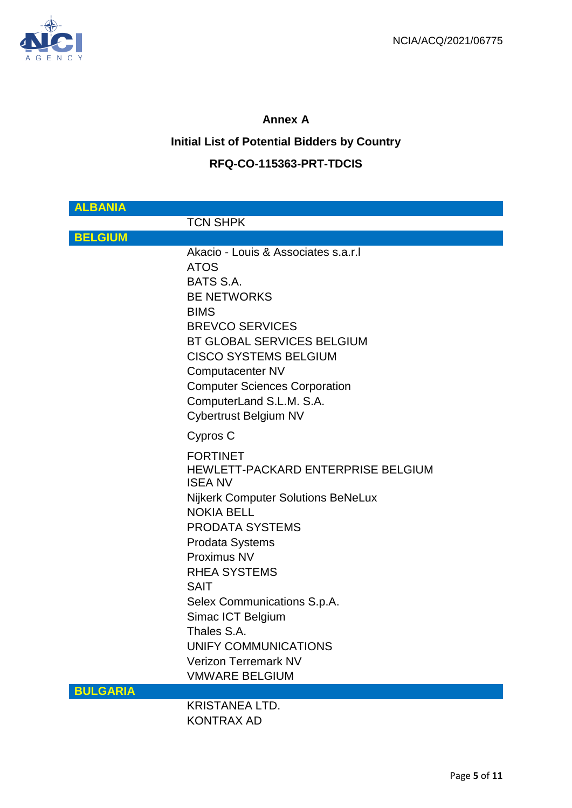

# **Annex A**

# **Initial List of Potential Bidders by Country**

# **RFQ-CO-115363-PRT-TDCIS**

| <b>ALBANIA</b>  |                                                                                                                                                                                                                                                                                                                                                                                                       |
|-----------------|-------------------------------------------------------------------------------------------------------------------------------------------------------------------------------------------------------------------------------------------------------------------------------------------------------------------------------------------------------------------------------------------------------|
|                 | <b>TCN SHPK</b>                                                                                                                                                                                                                                                                                                                                                                                       |
| <b>BELGIUM</b>  |                                                                                                                                                                                                                                                                                                                                                                                                       |
|                 | Akacio - Louis & Associates s.a.r.l<br><b>ATOS</b><br>BATS S.A.<br><b>BE NETWORKS</b><br><b>BIMS</b><br><b>BREVCO SERVICES</b><br><b>BT GLOBAL SERVICES BELGIUM</b><br><b>CISCO SYSTEMS BELGIUM</b><br>Computacenter NV<br><b>Computer Sciences Corporation</b><br>ComputerLand S.L.M. S.A.<br>Cybertrust Belgium NV                                                                                  |
|                 | Cypros C                                                                                                                                                                                                                                                                                                                                                                                              |
|                 | <b>FORTINET</b><br>HEWLETT-PACKARD ENTERPRISE BELGIUM<br><b>ISEA NV</b><br><b>Nijkerk Computer Solutions BeNeLux</b><br><b>NOKIA BELL</b><br><b>PRODATA SYSTEMS</b><br><b>Prodata Systems</b><br>Proximus NV<br><b>RHEA SYSTEMS</b><br><b>SAIT</b><br>Selex Communications S.p.A.<br>Simac ICT Belgium<br>Thales S.A.<br>UNIFY COMMUNICATIONS<br><b>Verizon Terremark NV</b><br><b>VMWARE BELGIUM</b> |
| <b>BULGARIA</b> | KRISTANEA I TD                                                                                                                                                                                                                                                                                                                                                                                        |

KRISTANEA LTD. KONTRAX AD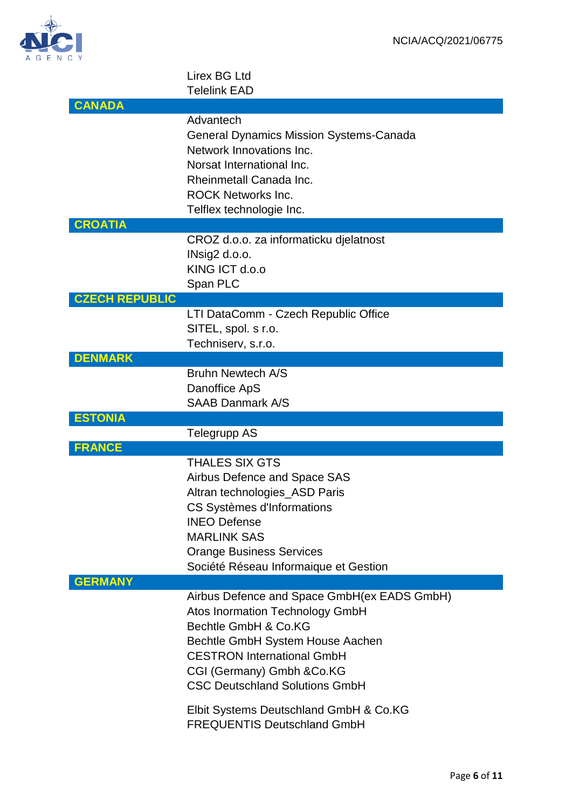

## Lirex BG Ltd Telelink EAD

| Advantech<br><b>General Dynamics Mission Systems-Canada</b><br>Network Innovations Inc.<br>Norsat International Inc.<br>Rheinmetall Canada Inc.<br><b>ROCK Networks Inc.</b><br>Telflex technologie Inc.                                      |
|-----------------------------------------------------------------------------------------------------------------------------------------------------------------------------------------------------------------------------------------------|
|                                                                                                                                                                                                                                               |
| CROZ d.o.o. za informaticku djelatnost<br>INsig2 d.o.o.<br>KING ICT d.o.o<br>Span PLC                                                                                                                                                         |
|                                                                                                                                                                                                                                               |
| LTI DataComm - Czech Republic Office<br>SITEL, spol. s r.o.<br>Techniserv, s.r.o.                                                                                                                                                             |
|                                                                                                                                                                                                                                               |
| <b>Bruhn Newtech A/S</b><br>Danoffice ApS<br><b>SAAB Danmark A/S</b>                                                                                                                                                                          |
|                                                                                                                                                                                                                                               |
|                                                                                                                                                                                                                                               |
| <b>Telegrupp AS</b>                                                                                                                                                                                                                           |
| <b>THALES SIX GTS</b><br>Airbus Defence and Space SAS<br>Altran technologies_ASD Paris<br>CS Systèmes d'Informations<br><b>INEO Defense</b><br><b>MARLINK SAS</b><br><b>Orange Business Services</b><br>Société Réseau Informaique et Gestion |
|                                                                                                                                                                                                                                               |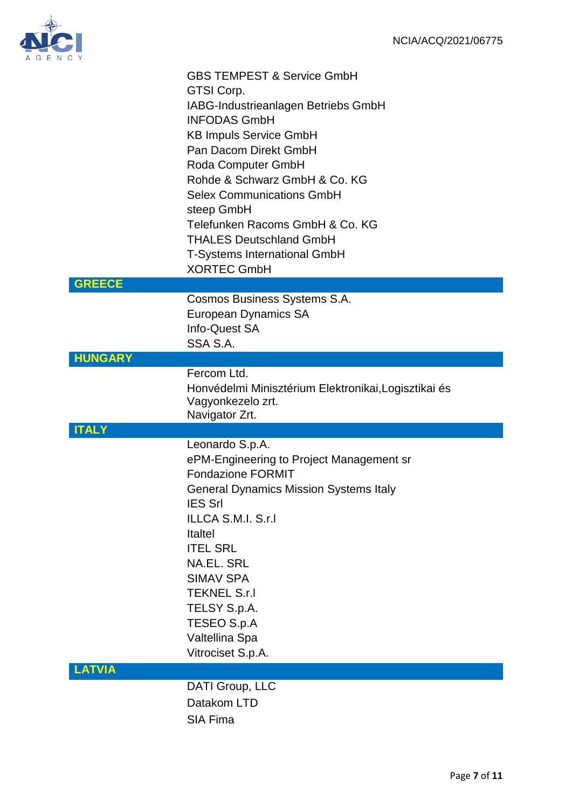

| N C Y          |                                                                                                                                                                                                                                                                                                                                                                                                                 |
|----------------|-----------------------------------------------------------------------------------------------------------------------------------------------------------------------------------------------------------------------------------------------------------------------------------------------------------------------------------------------------------------------------------------------------------------|
|                | <b>GBS TEMPEST &amp; Service GmbH</b><br>GTSI Corp.<br>IABG-Industrieanlagen Betriebs GmbH<br><b>INFODAS GmbH</b><br><b>KB Impuls Service GmbH</b><br>Pan Dacom Direkt GmbH<br>Roda Computer GmbH<br>Rohde & Schwarz GmbH & Co. KG<br><b>Selex Communications GmbH</b><br>steep GmbH<br>Telefunken Racoms GmbH & Co. KG<br><b>THALES Deutschland GmbH</b><br>T-Systems International GmbH<br><b>XORTEC GmbH</b> |
| <b>GREECE</b>  |                                                                                                                                                                                                                                                                                                                                                                                                                 |
|                | Cosmos Business Systems S.A.<br><b>European Dynamics SA</b><br>Info-Quest SA<br>SSA S.A.                                                                                                                                                                                                                                                                                                                        |
| <b>HUNGARY</b> |                                                                                                                                                                                                                                                                                                                                                                                                                 |
|                | Fercom Ltd.<br>Honvédelmi Minisztérium Elektronikai, Logisztikai és<br>Vagyonkezelo zrt.<br>Navigator Zrt.                                                                                                                                                                                                                                                                                                      |
| <b>ITALY</b>   |                                                                                                                                                                                                                                                                                                                                                                                                                 |
|                | Leonardo S.p.A.<br>ePM-Engineering to Project Management sr<br><b>Fondazione FORMIT</b><br><b>General Dynamics Mission Systems Italy</b><br><b>IES Srl</b><br>ILLCA S.M.I. S.r.I<br><b>Italtel</b><br><b>ITEL SRL</b><br><b>NA.EL. SRL</b><br><b>SIMAV SPA</b><br><b>TEKNEL S.r.I</b><br>TELSY S.p.A.<br>TESEO S.p.A<br>Valtellina Spa<br>Vitrociset S.p.A.                                                     |
| <b>LATVIA</b>  |                                                                                                                                                                                                                                                                                                                                                                                                                 |
|                | DATI Group, LLC<br>Datakom LTD                                                                                                                                                                                                                                                                                                                                                                                  |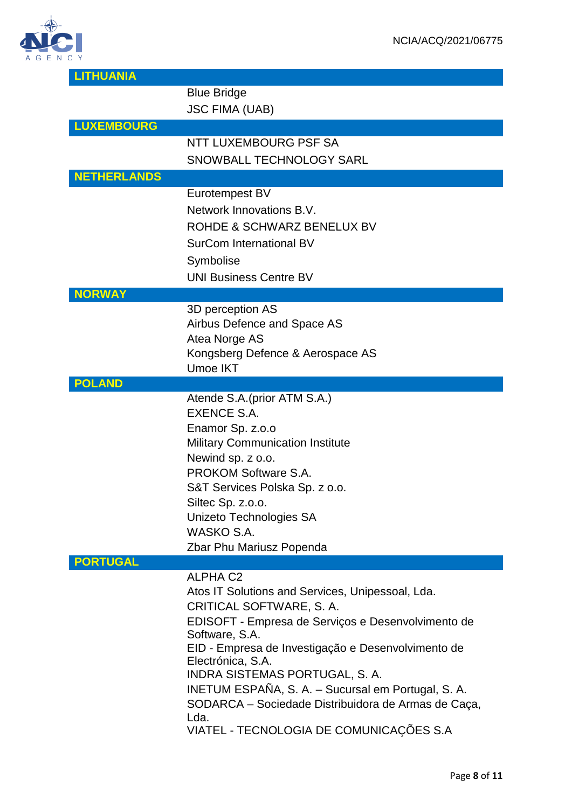

| <b>LITHUANIA</b>   |                                                     |
|--------------------|-----------------------------------------------------|
|                    | <b>Blue Bridge</b>                                  |
|                    | <b>JSC FIMA (UAB)</b>                               |
| <b>LUXEMBOURG</b>  |                                                     |
|                    |                                                     |
|                    | NTT LUXEMBOURG PSF SA                               |
|                    | SNOWBALL TECHNOLOGY SARL                            |
| <b>NETHERLANDS</b> |                                                     |
|                    | Eurotempest BV                                      |
|                    | Network Innovations B.V.                            |
|                    | ROHDE & SCHWARZ BENELUX BV                          |
|                    |                                                     |
|                    | SurCom International BV                             |
|                    | Symbolise                                           |
|                    | <b>UNI Business Centre BV</b>                       |
| <b>NORWAY</b>      |                                                     |
|                    | 3D perception AS                                    |
|                    | Airbus Defence and Space AS                         |
|                    | Atea Norge AS                                       |
|                    | Kongsberg Defence & Aerospace AS                    |
|                    | <b>Umoe IKT</b>                                     |
| <b>POLAND</b>      |                                                     |
|                    | Atende S.A. (prior ATM S.A.)                        |
|                    | EXENCE S.A.                                         |
|                    | Enamor Sp. z.o.o                                    |
|                    | <b>Military Communication Institute</b>             |
|                    | Newind sp. z o.o.                                   |
|                    | <b>PROKOM Software S.A.</b>                         |
|                    | S&T Services Polska Sp. z o.o.                      |
|                    | Siltec Sp. z.o.o.                                   |
|                    | Unizeto Technologies SA                             |
|                    | WASKO S.A.                                          |
|                    | Zbar Phu Mariusz Popenda                            |
| <b>PORTUGAL</b>    |                                                     |
|                    | <b>ALPHA C2</b>                                     |
|                    | Atos IT Solutions and Services, Unipessoal, Lda.    |
|                    | CRITICAL SOFTWARE, S.A.                             |
|                    | EDISOFT - Empresa de Serviços e Desenvolvimento de  |
|                    | Software, S.A.                                      |
|                    | EID - Empresa de Investigação e Desenvolvimento de  |
|                    | Electrónica, S.A.                                   |
|                    | INDRA SISTEMAS PORTUGAL, S. A.                      |
|                    | INETUM ESPAÑA, S. A. - Sucursal em Portugal, S. A.  |
|                    | SODARCA – Sociedade Distribuidora de Armas de Caça, |
|                    | Lda.                                                |
|                    |                                                     |
|                    | VIATEL - TECNOLOGIA DE COMUNICAÇÕES S.A             |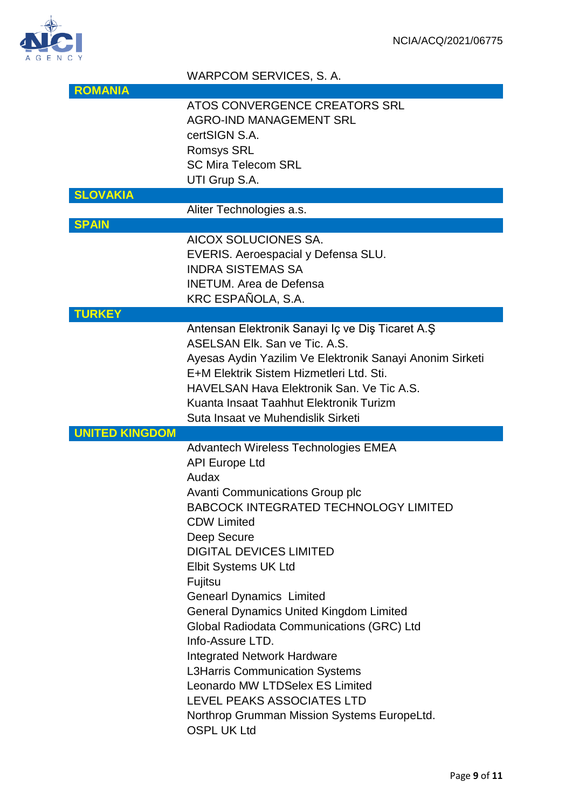

# WARPCOM SERVICES, S. A.

|                       | ATOS CONVERGENCE CREATORS SRL                            |
|-----------------------|----------------------------------------------------------|
|                       | <b>AGRO-IND MANAGEMENT SRL</b>                           |
|                       | certSIGN S.A.                                            |
|                       | <b>Romsys SRL</b>                                        |
|                       | <b>SC Mira Telecom SRL</b>                               |
|                       | UTI Grup S.A.                                            |
| <b>SLOVAKIA</b>       |                                                          |
|                       | Aliter Technologies a.s.                                 |
| <b>SPAIN</b>          |                                                          |
|                       | AICOX SOLUCIONES SA.                                     |
|                       | EVERIS. Aeroespacial y Defensa SLU.                      |
|                       | <b>INDRA SISTEMAS SA</b>                                 |
|                       | <b>INETUM.</b> Area de Defensa                           |
|                       |                                                          |
|                       | KRC ESPAÑOLA, S.A.                                       |
| <b>TURKEY</b>         |                                                          |
|                       | Antensan Elektronik Sanayi Iç ve Diş Ticaret A.Ş         |
|                       | ASELSAN Elk. San ve Tic. A.S.                            |
|                       | Ayesas Aydin Yazilim Ve Elektronik Sanayi Anonim Sirketi |
|                       | E+M Elektrik Sistem Hizmetleri Ltd. Sti.                 |
|                       | HAVELSAN Hava Elektronik San, Ve Tic A.S.                |
|                       | Kuanta Insaat Taahhut Elektronik Turizm                  |
|                       | Suta Insaat ve Muhendislik Sirketi                       |
| <b>UNITED KINGDOM</b> |                                                          |
|                       | Advantech Wireless Technologies EMEA                     |
|                       |                                                          |
|                       | <b>API Europe Ltd</b>                                    |
|                       | Audax                                                    |
|                       |                                                          |
|                       | <b>Avanti Communications Group plc</b>                   |
|                       | <b>BABCOCK INTEGRATED TECHNOLOGY LIMITED</b>             |
|                       | <b>CDW Limited</b>                                       |
|                       | Deep Secure                                              |
|                       | <b>DIGITAL DEVICES LIMITED</b>                           |
|                       | <b>Elbit Systems UK Ltd</b>                              |
|                       | Fujitsu                                                  |
|                       | <b>Genearl Dynamics Limited</b>                          |
|                       | <b>General Dynamics United Kingdom Limited</b>           |
|                       | Global Radiodata Communications (GRC) Ltd                |
|                       | Info-Assure LTD.                                         |
|                       | <b>Integrated Network Hardware</b>                       |
|                       | <b>L3Harris Communication Systems</b>                    |
|                       | Leonardo MW LTDSelex ES Limited                          |
|                       | <b>LEVEL PEAKS ASSOCIATES LTD</b>                        |
|                       | Northrop Grumman Mission Systems EuropeLtd.              |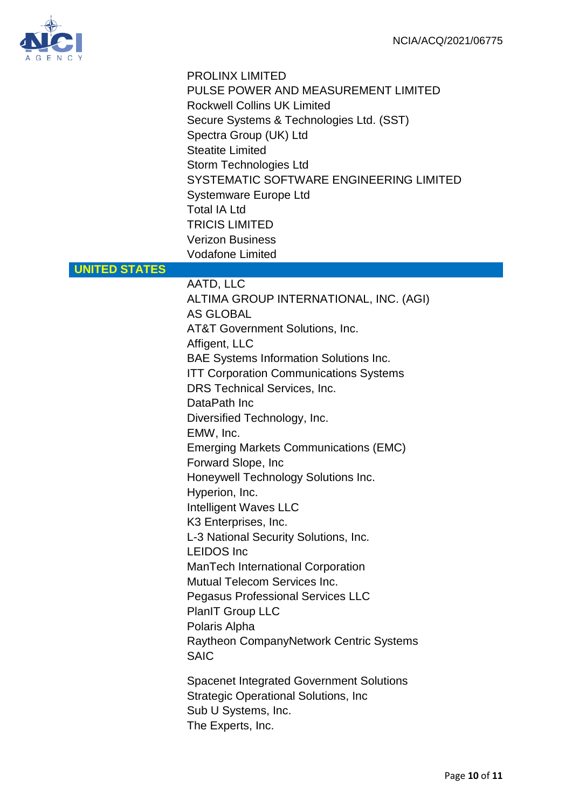

|                      | <b>PROLINX LIMITED</b><br>PULSE POWER AND MEASUREMENT LIMITED<br><b>Rockwell Collins UK Limited</b><br>Secure Systems & Technologies Ltd. (SST)<br>Spectra Group (UK) Ltd<br><b>Steatite Limited</b><br>Storm Technologies Ltd<br>SYSTEMATIC SOFTWARE ENGINEERING LIMITED<br><b>Systemware Europe Ltd</b><br><b>Total IA Ltd</b><br><b>TRICIS LIMITED</b><br><b>Verizon Business</b><br><b>Vodafone Limited</b>                                                                                                                                                                                                                                                                                                                                                                                                   |
|----------------------|-------------------------------------------------------------------------------------------------------------------------------------------------------------------------------------------------------------------------------------------------------------------------------------------------------------------------------------------------------------------------------------------------------------------------------------------------------------------------------------------------------------------------------------------------------------------------------------------------------------------------------------------------------------------------------------------------------------------------------------------------------------------------------------------------------------------|
| <b>UNITED STATES</b> |                                                                                                                                                                                                                                                                                                                                                                                                                                                                                                                                                                                                                                                                                                                                                                                                                   |
|                      | AATD, LLC<br>ALTIMA GROUP INTERNATIONAL, INC. (AGI)<br><b>AS GLOBAL</b><br><b>AT&amp;T Government Solutions, Inc.</b><br>Affigent, LLC<br><b>BAE Systems Information Solutions Inc.</b><br><b>ITT Corporation Communications Systems</b><br>DRS Technical Services, Inc.<br>DataPath Inc<br>Diversified Technology, Inc.<br>EMW, Inc.<br><b>Emerging Markets Communications (EMC)</b><br>Forward Slope, Inc<br>Honeywell Technology Solutions Inc.<br>Hyperion, Inc.<br><b>Intelligent Waves LLC</b><br>K3 Enterprises, Inc.<br>L-3 National Security Solutions, Inc.<br><b>LEIDOS</b> Inc<br>ManTech International Corporation<br><b>Mutual Telecom Services Inc.</b><br><b>Pegasus Professional Services LLC</b><br>PlanIT Group LLC<br>Polaris Alpha<br>Raytheon CompanyNetwork Centric Systems<br><b>SAIC</b> |
|                      | <b>Spacenet Integrated Government Solutions</b><br><b>Strategic Operational Solutions, Inc</b><br>Sub U Systems, Inc.<br>The Experts, Inc.                                                                                                                                                                                                                                                                                                                                                                                                                                                                                                                                                                                                                                                                        |